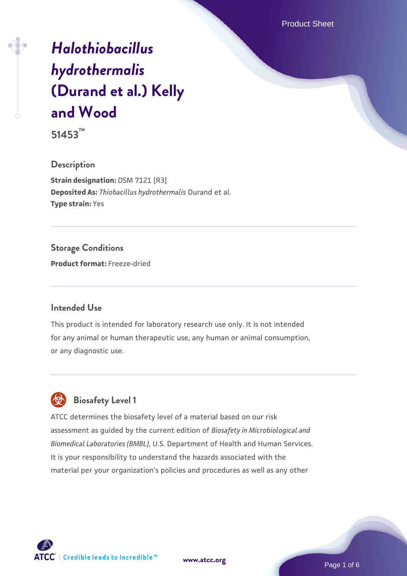Product Sheet

# *[Halothiobacillus](https://www.atcc.org/products/51453) [hydrothermalis](https://www.atcc.org/products/51453)* **[\(Durand et al.\) Kelly](https://www.atcc.org/products/51453) [and Wood](https://www.atcc.org/products/51453)**

**51453™**

### **Description**

**Strain designation: DSM 7121 [R3] Deposited As:** *Thiobacillus hydrothermalis* Durand et al. **Type strain:** Yes

## **Storage Conditions**

**Product format:** Freeze-dried

#### **Intended Use**

This product is intended for laboratory research use only. It is not intended for any animal or human therapeutic use, any human or animal consumption, or any diagnostic use.

# **Biosafety Level 1**

ATCC determines the biosafety level of a material based on our risk assessment as guided by the current edition of *Biosafety in Microbiological and Biomedical Laboratories (BMBL)*, U.S. Department of Health and Human Services. It is your responsibility to understand the hazards associated with the material per your organization's policies and procedures as well as any other



**[www.atcc.org](http://www.atcc.org)**

Page 1 of 6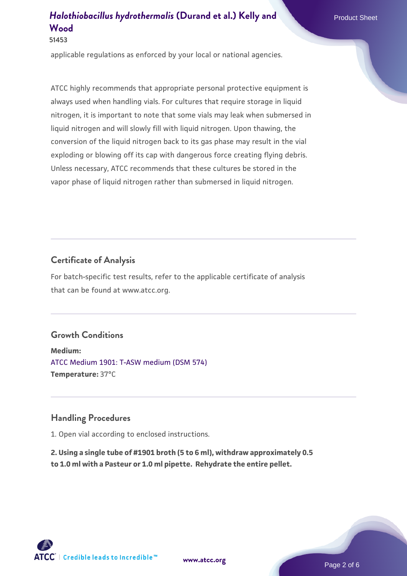## *[Halothiobacillus hydrothermalis](https://www.atcc.org/products/51453)* [\(Durand et al.\) Kelly and](https://www.atcc.org/products/51453) Product Sheet **[Wood](https://www.atcc.org/products/51453)**

**51453**

applicable regulations as enforced by your local or national agencies.

ATCC highly recommends that appropriate personal protective equipment is always used when handling vials. For cultures that require storage in liquid nitrogen, it is important to note that some vials may leak when submersed in liquid nitrogen and will slowly fill with liquid nitrogen. Upon thawing, the conversion of the liquid nitrogen back to its gas phase may result in the vial exploding or blowing off its cap with dangerous force creating flying debris. Unless necessary, ATCC recommends that these cultures be stored in the vapor phase of liquid nitrogen rather than submersed in liquid nitrogen.

### **Certificate of Analysis**

For batch-specific test results, refer to the applicable certificate of analysis that can be found at www.atcc.org.

## **Growth Conditions**

**Medium:**  [ATCC Medium 1901: T-ASW medium \(DSM 574\)](https://www.atcc.org/-/media/product-assets/documents/microbial-media-formulations/atcc-medium-1901.pdf?rev=adc98cdd3aa24339b15223cfc0261a93) **Temperature:** 37°C

#### **Handling Procedures**

1. Open vial according to enclosed instructions.

**2. Using a single tube of #1901 broth (5 to 6 ml), withdraw approximately 0.5 to 1.0 ml with a Pasteur or 1.0 ml pipette. Rehydrate the entire pellet.**

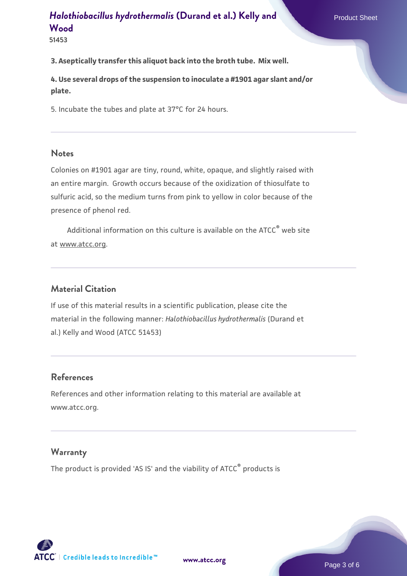## *[Halothiobacillus hydrothermalis](https://www.atcc.org/products/51453)* [\(Durand et al.\) Kelly and](https://www.atcc.org/products/51453) **[Wood](https://www.atcc.org/products/51453)**

**51453**

#### **3. Aseptically transfer this aliquot back into the broth tube. Mix well.**

**4. Use several drops of the suspension to inoculate a #1901 agar slant and/or plate.**

5. Incubate the tubes and plate at 37°C for 24 hours.

#### **Notes**

Colonies on #1901 agar are tiny, round, white, opaque, and slightly raised with an entire margin. Growth occurs because of the oxidization of thiosulfate to sulfuric acid, so the medium turns from pink to yellow in color because of the presence of phenol red.

Additional information on this culture is available on the ATCC<sup>®</sup> web site at www.atcc.org.

#### **Material Citation**

If use of this material results in a scientific publication, please cite the material in the following manner: *Halothiobacillus hydrothermalis* (Durand et al.) Kelly and Wood (ATCC 51453)

#### **References**

References and other information relating to this material are available at www.atcc.org.

#### **Warranty**

The product is provided 'AS IS' and the viability of ATCC® products is



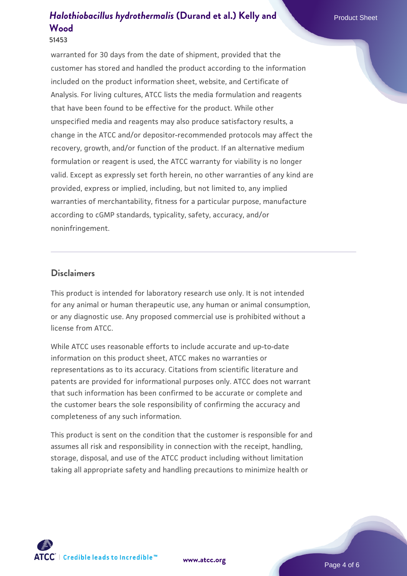## *[Halothiobacillus hydrothermalis](https://www.atcc.org/products/51453)* [\(Durand et al.\) Kelly and](https://www.atcc.org/products/51453) Product Sheet **[Wood](https://www.atcc.org/products/51453)**

warranted for 30 days from the date of shipment, provided that the customer has stored and handled the product according to the information included on the product information sheet, website, and Certificate of Analysis. For living cultures, ATCC lists the media formulation and reagents that have been found to be effective for the product. While other unspecified media and reagents may also produce satisfactory results, a change in the ATCC and/or depositor-recommended protocols may affect the recovery, growth, and/or function of the product. If an alternative medium formulation or reagent is used, the ATCC warranty for viability is no longer valid. Except as expressly set forth herein, no other warranties of any kind are provided, express or implied, including, but not limited to, any implied warranties of merchantability, fitness for a particular purpose, manufacture according to cGMP standards, typicality, safety, accuracy, and/or noninfringement.

#### **Disclaimers**

This product is intended for laboratory research use only. It is not intended for any animal or human therapeutic use, any human or animal consumption, or any diagnostic use. Any proposed commercial use is prohibited without a license from ATCC.

While ATCC uses reasonable efforts to include accurate and up-to-date information on this product sheet, ATCC makes no warranties or representations as to its accuracy. Citations from scientific literature and patents are provided for informational purposes only. ATCC does not warrant that such information has been confirmed to be accurate or complete and the customer bears the sole responsibility of confirming the accuracy and completeness of any such information.

This product is sent on the condition that the customer is responsible for and assumes all risk and responsibility in connection with the receipt, handling, storage, disposal, and use of the ATCC product including without limitation taking all appropriate safety and handling precautions to minimize health or

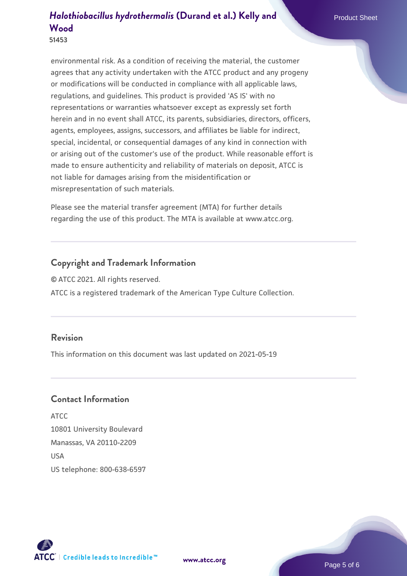# *[Halothiobacillus hydrothermalis](https://www.atcc.org/products/51453)* [\(Durand et al.\) Kelly and](https://www.atcc.org/products/51453) Product Sheet **[Wood](https://www.atcc.org/products/51453)**

**51453**

environmental risk. As a condition of receiving the material, the customer agrees that any activity undertaken with the ATCC product and any progeny or modifications will be conducted in compliance with all applicable laws, regulations, and guidelines. This product is provided 'AS IS' with no representations or warranties whatsoever except as expressly set forth herein and in no event shall ATCC, its parents, subsidiaries, directors, officers, agents, employees, assigns, successors, and affiliates be liable for indirect, special, incidental, or consequential damages of any kind in connection with or arising out of the customer's use of the product. While reasonable effort is made to ensure authenticity and reliability of materials on deposit, ATCC is not liable for damages arising from the misidentification or misrepresentation of such materials.

Please see the material transfer agreement (MTA) for further details regarding the use of this product. The MTA is available at www.atcc.org.

## **Copyright and Trademark Information**

© ATCC 2021. All rights reserved.

ATCC is a registered trademark of the American Type Culture Collection.

### **Revision**

This information on this document was last updated on 2021-05-19

#### **Contact Information**

ATCC 10801 University Boulevard Manassas, VA 20110-2209 **IISA** US telephone: 800-638-6597